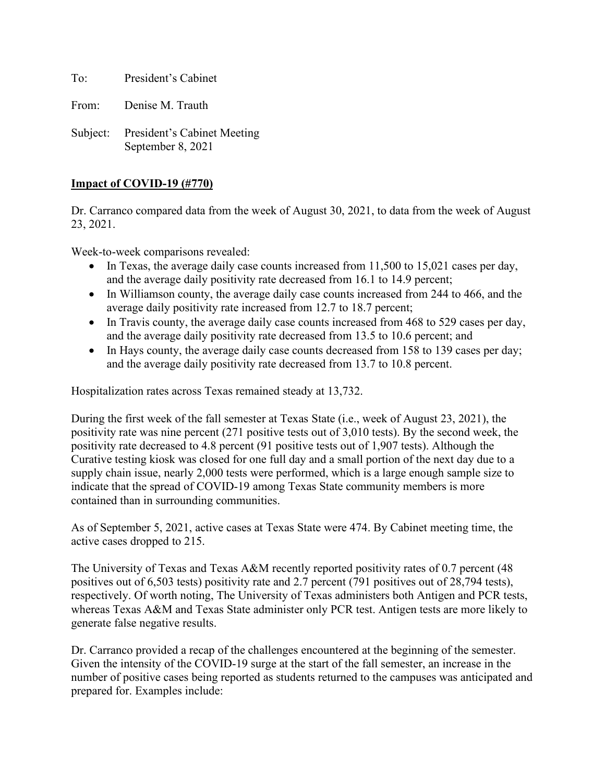To: President's Cabinet

From: Denise M. Trauth

Subject: President's Cabinet Meeting September 8, 2021

# **Impact of COVID-19 (#770)**

Dr. Carranco compared data from the week of August 30, 2021, to data from the week of August 23, 2021.

Week-to-week comparisons revealed:

- In Texas, the average daily case counts increased from 11,500 to 15,021 cases per day, and the average daily positivity rate decreased from 16.1 to 14.9 percent;
- In Williamson county, the average daily case counts increased from 244 to 466, and the average daily positivity rate increased from 12.7 to 18.7 percent;
- In Travis county, the average daily case counts increased from 468 to 529 cases per day, and the average daily positivity rate decreased from 13.5 to 10.6 percent; and
- In Hays county, the average daily case counts decreased from 158 to 139 cases per day; and the average daily positivity rate decreased from 13.7 to 10.8 percent.

Hospitalization rates across Texas remained steady at 13,732.

During the first week of the fall semester at Texas State (i.e., week of August 23, 2021), the positivity rate was nine percent (271 positive tests out of 3,010 tests). By the second week, the positivity rate decreased to 4.8 percent (91 positive tests out of 1,907 tests). Although the Curative testing kiosk was closed for one full day and a small portion of the next day due to a supply chain issue, nearly 2,000 tests were performed, which is a large enough sample size to indicate that the spread of COVID-19 among Texas State community members is more contained than in surrounding communities.

As of September 5, 2021, active cases at Texas State were 474. By Cabinet meeting time, the active cases dropped to 215.

The University of Texas and Texas A&M recently reported positivity rates of 0.7 percent (48 positives out of 6,503 tests) positivity rate and 2.7 percent (791 positives out of 28,794 tests), respectively. Of worth noting, The University of Texas administers both Antigen and PCR tests, whereas Texas A&M and Texas State administer only PCR test. Antigen tests are more likely to generate false negative results.

Dr. Carranco provided a recap of the challenges encountered at the beginning of the semester. Given the intensity of the COVID-19 surge at the start of the fall semester, an increase in the number of positive cases being reported as students returned to the campuses was anticipated and prepared for. Examples include: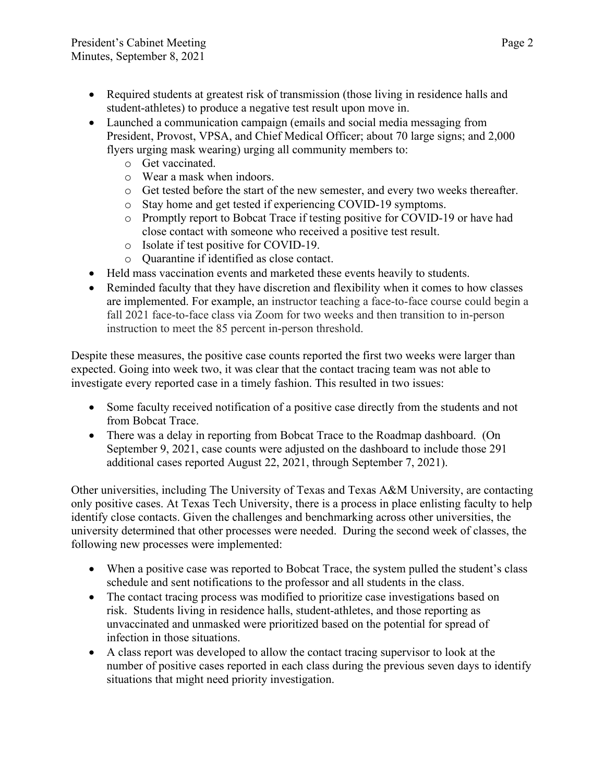- Required students at greatest risk of transmission (those living in residence halls and student-athletes) to produce a negative test result upon move in.
- Launched a communication campaign (emails and social media messaging from President, Provost, VPSA, and Chief Medical Officer; about 70 large signs; and 2,000 flyers urging mask wearing) urging all community members to:
	- o Get vaccinated.
	- o Wear a mask when indoors.
	- o Get tested before the start of the new semester, and every two weeks thereafter.
	- o Stay home and get tested if experiencing COVID-19 symptoms.
	- o Promptly report to Bobcat Trace if testing positive for COVID-19 or have had close contact with someone who received a positive test result.
	- o Isolate if test positive for COVID-19.
	- o Quarantine if identified as close contact.
- Held mass vaccination events and marketed these events heavily to students.
- Reminded faculty that they have discretion and flexibility when it comes to how classes are implemented. For example, an instructor teaching a face-to-face course could begin a fall 2021 face-to-face class via Zoom for two weeks and then transition to in-person instruction to meet the 85 percent in-person threshold.

Despite these measures, the positive case counts reported the first two weeks were larger than expected. Going into week two, it was clear that the contact tracing team was not able to investigate every reported case in a timely fashion. This resulted in two issues:

- Some faculty received notification of a positive case directly from the students and not from Bobcat Trace.
- There was a delay in reporting from Bobcat Trace to the Roadmap dashboard. (On September 9, 2021, case counts were adjusted on the dashboard to include those 291 additional cases reported August 22, 2021, through September 7, 2021).

Other universities, including The University of Texas and Texas A&M University, are contacting only positive cases. At Texas Tech University, there is a process in place enlisting faculty to help identify close contacts. Given the challenges and benchmarking across other universities, the university determined that other processes were needed. During the second week of classes, the following new processes were implemented:

- When a positive case was reported to Bobcat Trace, the system pulled the student's class schedule and sent notifications to the professor and all students in the class.
- The contact tracing process was modified to prioritize case investigations based on risk. Students living in residence halls, student-athletes, and those reporting as unvaccinated and unmasked were prioritized based on the potential for spread of infection in those situations.
- A class report was developed to allow the contact tracing supervisor to look at the number of positive cases reported in each class during the previous seven days to identify situations that might need priority investigation.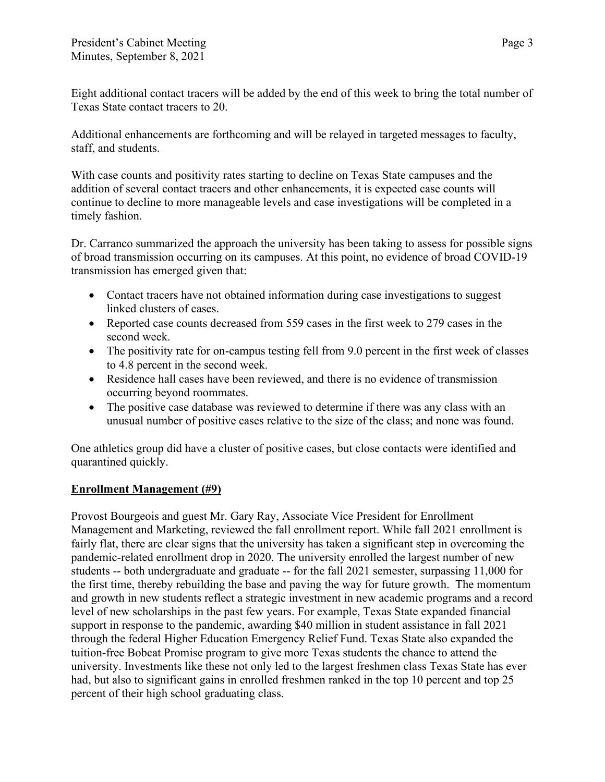Eight additional contact tracers will be added by the end of this week to bring the total number of Texas State contact tracers to 20.

Additional enhancements are forthcoming and will be relayed in targeted messages to faculty, staff, and students.

With case counts and positivity rates starting to decline on Texas State campuses and the addition of several contact tracers and other enhancements, it is expected case counts will continue to decline to more manageable levels and case investigations will be completed in a timely fashion.

Dr. Carranco summarized the approach the university has been taking to assess for possible signs of broad transmission occurring on its campuses. At this point, no evidence of broad COVID-19 transmission has emerged given that:

- Contact tracers have not obtained information during case investigations to suggest linked clusters of cases.
- Reported case counts decreased from 559 cases in the first week to 279 cases in the second week.
- The positivity rate for on-campus testing fell from 9.0 percent in the first week of classes to 4.8 percent in the second week.
- Residence hall cases have been reviewed, and there is no evidence of transmission occurring beyond roommates.
- The positive case database was reviewed to determine if there was any class with an unusual number of positive cases relative to the size of the class; and none was found.

One athletics group did have a cluster of positive cases, but close contacts were identified and quarantined quickly.

# **Enrollment Management (#9)**

Provost Bourgeois and guest Mr. Gary Ray, Associate Vice President for Enrollment Management and Marketing, reviewed the fall enrollment report. While fall 2021 enrollment is fairly flat, there are clear signs that the university has taken a significant step in overcoming the pandemic-related enrollment drop in 2020. The university enrolled the largest number of new students -- both undergraduate and graduate -- for the fall 2021 semester, surpassing 11,000 for the first time, thereby rebuilding the base and paving the way for future growth. The momentum and growth in new students reflect a strategic investment in new academic programs and a record level of new scholarships in the past few years. For example, Texas State expanded financial support in response to the pandemic, awarding \$40 million in student assistance in fall 2021 through the federal Higher Education Emergency Relief Fund. Texas State also expanded the tuition-free Bobcat Promise program to give more Texas students the chance to attend the university. Investments like these not only led to the largest freshmen class Texas State has ever had, but also to significant gains in enrolled freshmen ranked in the top 10 percent and top 25 percent of their high school graduating class.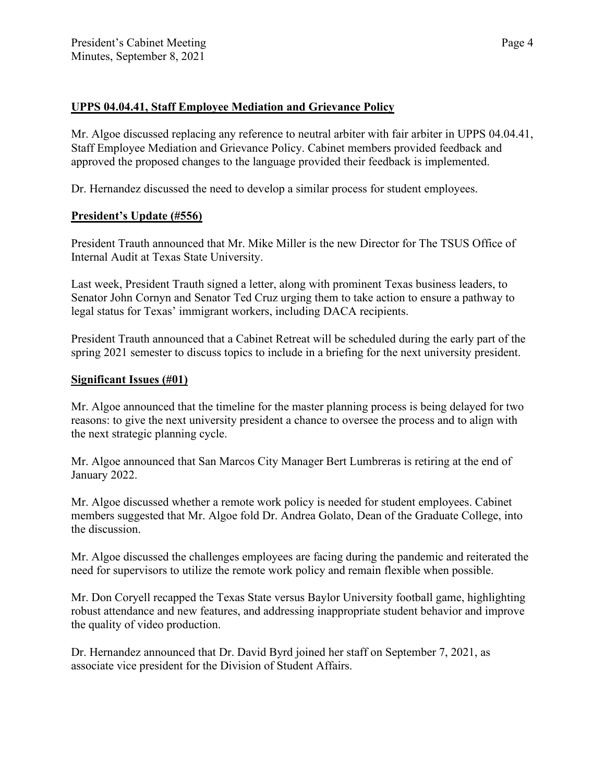## **UPPS 04.04.41, Staff Employee Mediation and Grievance Policy**

Mr. Algoe discussed replacing any reference to neutral arbiter with fair arbiter in UPPS 04.04.41, Staff Employee Mediation and Grievance Policy. Cabinet members provided feedback and approved the proposed changes to the language provided their feedback is implemented.

Dr. Hernandez discussed the need to develop a similar process for student employees.

# **President's Update (#556)**

President Trauth announced that Mr. Mike Miller is the new Director for The TSUS Office of Internal Audit at Texas State University.

Last week, President Trauth signed a letter, along with prominent Texas business leaders, to Senator John Cornyn and Senator Ted Cruz urging them to take action to ensure a pathway to legal status for Texas' immigrant workers, including DACA recipients.

President Trauth announced that a Cabinet Retreat will be scheduled during the early part of the spring 2021 semester to discuss topics to include in a briefing for the next university president.

### **Significant Issues (#01)**

Mr. Algoe announced that the timeline for the master planning process is being delayed for two reasons: to give the next university president a chance to oversee the process and to align with the next strategic planning cycle.

Mr. Algoe announced that San Marcos City Manager Bert Lumbreras is retiring at the end of January 2022.

Mr. Algoe discussed whether a remote work policy is needed for student employees. Cabinet members suggested that Mr. Algoe fold Dr. Andrea Golato, Dean of the Graduate College, into the discussion.

Mr. Algoe discussed the challenges employees are facing during the pandemic and reiterated the need for supervisors to utilize the remote work policy and remain flexible when possible.

Mr. Don Coryell recapped the Texas State versus Baylor University football game, highlighting robust attendance and new features, and addressing inappropriate student behavior and improve the quality of video production.

Dr. Hernandez announced that [Dr. David Byrd](https://news.txstate.edu/inside-txst/2021/byrd-vice-president-for-student-affairs.html) joined her staff on September 7, 2021, as associate vice president for the Division of Student Affairs.